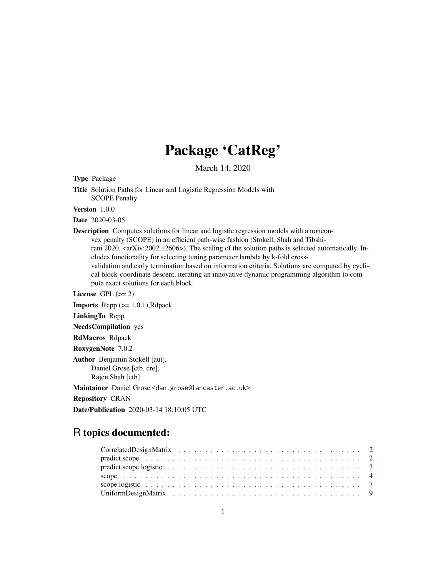## Package 'CatReg'

March 14, 2020

Type Package

Title Solution Paths for Linear and Logistic Regression Models with SCOPE Penalty

Version 1.0.0

Date 2020-03-05

Description Computes solutions for linear and logistic regression models with a nonconvex penalty (SCOPE) in an efficient path-wise fashion (Stokell, Shah and Tibshirani 2020, <arXiv:2002.12606>). The scaling of the solution paths is selected automatically. Includes functionality for selecting tuning parameter lambda by k-fold crossvalidation and early termination based on information criteria. Solutions are computed by cyclical block-coordinate descent, iterating an innovative dynamic programming algorithm to compute exact solutions for each block.

License GPL  $(>= 2)$ 

**Imports** Rcpp  $(>= 1.0.1)$ , Rdpack

LinkingTo Rcpp

NeedsCompilation yes

RdMacros Rdpack

RoxygenNote 7.0.2

Author Benjamin Stokell [aut], Daniel Grose [ctb, cre],

Rajen Shah [ctb]

Maintainer Daniel Grose <dan.grose@lancaster.ac.uk>

Repository CRAN

Date/Publication 2020-03-14 18:10:05 UTC

#### R topics documented: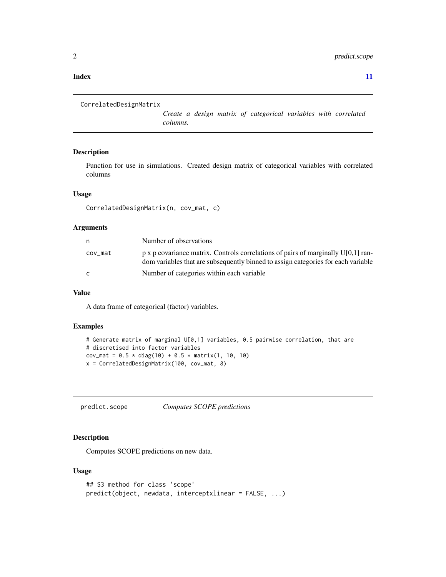#### <span id="page-1-0"></span>**Index** [11](#page-10-0)

```
CorrelatedDesignMatrix
```
*Create a design matrix of categorical variables with correlated columns.*

#### Description

Function for use in simulations. Created design matrix of categorical variables with correlated columns

#### Usage

```
CorrelatedDesignMatrix(n, cov_mat, c)
```
#### Arguments

| n       | Number of observations                                                                                                                                                        |
|---------|-------------------------------------------------------------------------------------------------------------------------------------------------------------------------------|
| cov_mat | $p \times p$ covariance matrix. Controls correlations of pairs of marginally U[0,1] ran-<br>dom variables that are subsequently binned to assign categories for each variable |
| C.      | Number of categories within each variable                                                                                                                                     |

#### Value

A data frame of categorical (factor) variables.

#### Examples

```
# Generate matrix of marginal U[0,1] variables, 0.5 pairwise correlation, that are
# discretised into factor variables
cov_mat = 0.5 * diag(10) + 0.5 * matrix(1, 10, 10)x = CorrelatedDesignMatrix(100, cov_mat, 8)
```
predict.scope *Computes SCOPE predictions*

#### Description

Computes SCOPE predictions on new data.

#### Usage

```
## S3 method for class 'scope'
predict(object, newdata, interceptxlinear = FALSE, ...)
```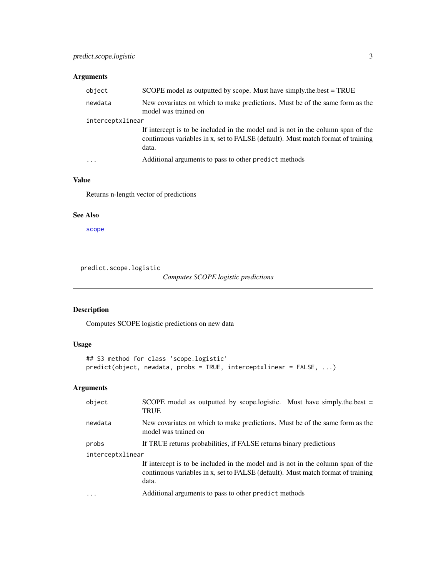#### <span id="page-2-0"></span>Arguments

| object           | SCOPE model as outputted by scope. Must have simply the best = TRUE                                                                                                           |  |
|------------------|-------------------------------------------------------------------------------------------------------------------------------------------------------------------------------|--|
| newdata          | New covariates on which to make predictions. Must be of the same form as the<br>model was trained on                                                                          |  |
| interceptxlinear |                                                                                                                                                                               |  |
|                  | If intercept is to be included in the model and is not in the column span of the<br>continuous variables in x, set to FALSE (default). Must match format of training<br>data. |  |
| $\ddots$         | Additional arguments to pass to other predict methods                                                                                                                         |  |

#### Value

Returns n-length vector of predictions

#### See Also

[scope](#page-3-1)

predict.scope.logistic

*Computes SCOPE logistic predictions*

#### Description

Computes SCOPE logistic predictions on new data

#### Usage

```
## S3 method for class 'scope.logistic'
predict(object, newdata, probs = TRUE, interceptxlinear = FALSE, ...)
```
#### Arguments

| object           | SCOPE model as outputted by scope.logistic. Must have simply the best $=$<br><b>TRUE</b>                                                                                      |  |
|------------------|-------------------------------------------------------------------------------------------------------------------------------------------------------------------------------|--|
| newdata          | New covariates on which to make predictions. Must be of the same form as the<br>model was trained on                                                                          |  |
| probs            | If TRUE returns probabilities, if FALSE returns binary predictions                                                                                                            |  |
| interceptxlinear |                                                                                                                                                                               |  |
|                  | If intercept is to be included in the model and is not in the column span of the<br>continuous variables in x, set to FALSE (default). Must match format of training<br>data. |  |
|                  | Additional arguments to pass to other predict methods                                                                                                                         |  |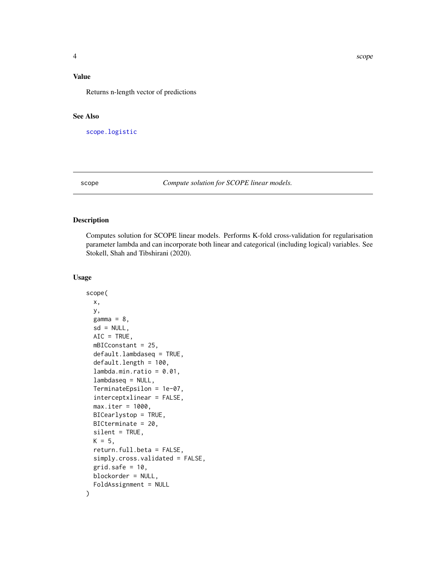#### <span id="page-3-0"></span>Value

Returns n-length vector of predictions

#### See Also

[scope.logistic](#page-6-1)

<span id="page-3-1"></span>scope *Compute solution for SCOPE linear models.*

#### Description

Computes solution for SCOPE linear models. Performs K-fold cross-validation for regularisation parameter lambda and can incorporate both linear and categorical (including logical) variables. See Stokell, Shah and Tibshirani (2020).

#### Usage

```
scope(
  x,
  y,
  gamma = 8,
  sd = NULL,AIC = TRUE,mBICconstant = 25,
  default.lambdaseq = TRUE,
  default.length = 100,
  lambda.min.ratio = <math>0.01</math>,lambdaseq = NULL,
  TerminateEpsilon = 1e-07,
  interceptxlinear = FALSE,
 max.iter = 1000,BICearlystop = TRUE,
 BICterminate = 20,
  silent = TRUE,
 K = 5,
  return.full.beta = FALSE,
  simply.cross.validated = FALSE,
  grid.safe = 10,
 blockorder = NULL,
  FoldAssignment = NULL
)
```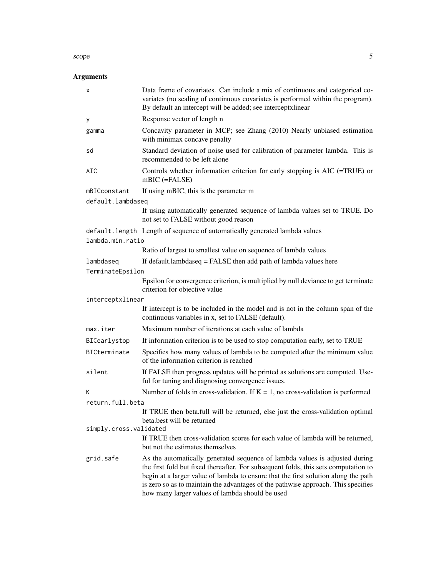#### $\mathsf{scope}$  5

#### Arguments

| Concavity parameter in MCP; see Zhang (2010) Nearly unbiased estimation            |
|------------------------------------------------------------------------------------|
| Standard deviation of noise used for calibration of parameter lambda. This is      |
| Controls whether information criterion for early stopping is AIC (=TRUE) or        |
|                                                                                    |
|                                                                                    |
| If using automatically generated sequence of lambda values set to TRUE. Do         |
|                                                                                    |
|                                                                                    |
| If default.lambdaseq = FALSE then add path of lambda values here                   |
| Epsilon for convergence criterion, is multiplied by null deviance to get terminate |
|                                                                                    |
| If intercept is to be included in the model and is not in the column span of the   |
|                                                                                    |
|                                                                                    |
| If information criterion is to be used to stop computation early, set to TRUE      |
| Specifies how many values of lambda to be computed after the minimum value         |
| If FALSE then progress updates will be printed as solutions are computed. Use-     |
| Number of folds in cross-validation. If $K = 1$ , no cross-validation is performed |
|                                                                                    |
| If TRUE then beta.full will be returned, else just the cross-validation optimal    |
| If TRUE then cross-validation scores for each value of lambda will be returned,    |
|                                                                                    |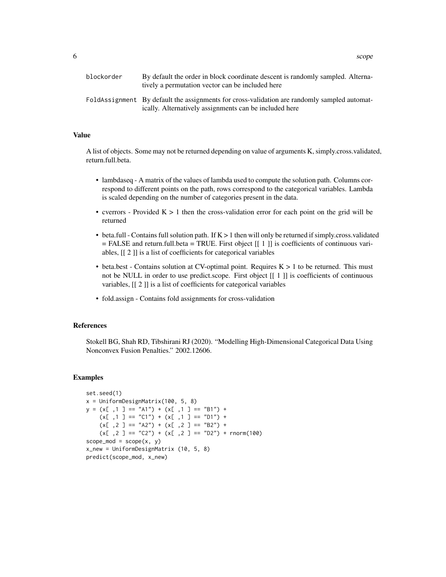| blockorder | By default the order in block coordinate descent is randomly sampled. Alterna-<br>tively a permutation vector can be included here                     |
|------------|--------------------------------------------------------------------------------------------------------------------------------------------------------|
|            | FoldAssignment By default the assignments for cross-validation are randomly sampled automat-<br>ically. Alternatively assignments can be included here |

#### Value

A list of objects. Some may not be returned depending on value of arguments K, simply.cross.validated, return.full.beta.

- lambdaseq A matrix of the values of lambda used to compute the solution path. Columns correspond to different points on the path, rows correspond to the categorical variables. Lambda is scaled depending on the number of categories present in the data.
- cverrors Provided  $K > 1$  then the cross-validation error for each point on the grid will be returned
- beta.full Contains full solution path. If  $K > 1$  then will only be returned if simply.cross.validated  $=$  FALSE and return.full.beta  $=$  TRUE. First object  $[[1]]$  is coefficients of continuous variables, [[ 2 ]] is a list of coefficients for categorical variables
- beta.best Contains solution at CV-optimal point. Requires  $K > 1$  to be returned. This must not be NULL in order to use predict.scope. First object [[ 1 ]] is coefficients of continuous variables, [[ 2 ]] is a list of coefficients for categorical variables
- fold.assign Contains fold assignments for cross-validation

#### References

Stokell BG, Shah RD, Tibshirani RJ (2020). "Modelling High-Dimensional Categorical Data Using Nonconvex Fusion Penalties." 2002.12606.

#### **Examples**

```
set.seed(1)
x = UniformDesignMatrix(100, 5, 8)
y = (x[-, 1] == "A1") + (x[-, 1] == "B1") +(x[-, 1] == "C1") + (x[-, 1] == "D1") +(x[-, 2] == "A2") + (x[-, 2] == "B2") +(x[ ,2 ] == "C2") + (x[ ,2 ] == "D2") + rnorm(100)scope\_mod = scope(x, y)x_new = UniformDesignMatrix (10, 5, 8)
predict(scope_mod, x_new)
```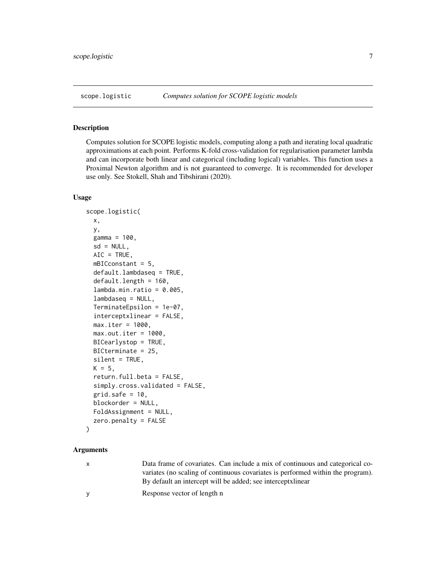<span id="page-6-1"></span><span id="page-6-0"></span>

#### Description

Computes solution for SCOPE logistic models, computing along a path and iterating local quadratic approximations at each point. Performs K-fold cross-validation for regularisation parameter lambda and can incorporate both linear and categorical (including logical) variables. This function uses a Proximal Newton algorithm and is not guaranteed to converge. It is recommended for developer use only. See Stokell, Shah and Tibshirani (2020).

#### Usage

```
scope.logistic(
  x,
 y,
  gamma = 100,
  sd = NULL,AIC = TRUE,mBICconstant = 5,
  default.lambdaseq = TRUE,
  default.length = 160,
  lambda.min.ratio = <math>0.005</math>,lambdaseq = NULL,
  TerminateEpsilon = 1e-07,
  interceptxlinear = FALSE,
 max.iter = 1000,max.out.iter = 1000,BICearlystop = TRUE,
 BICterminate = 25,
  silent = TRUE,
 K = 5,
  return.full.beta = FALSE,
  simply.cross.validated = FALSE,
  grid.safe = 10,
 blockorder = NULL,
  FoldAssignment = NULL,
  zero.penalty = FALSE
```

```
\mathcal{E}
```
#### **Arguments**

| $\mathsf{x}$ | Data frame of covariates. Can include a mix of continuous and categorical co-   |
|--------------|---------------------------------------------------------------------------------|
|              | variates (no scaling of continuous covariates is performed within the program). |
|              | By default an intercept will be added; see intercept solid and intervalsed.     |
| v            | Response vector of length n                                                     |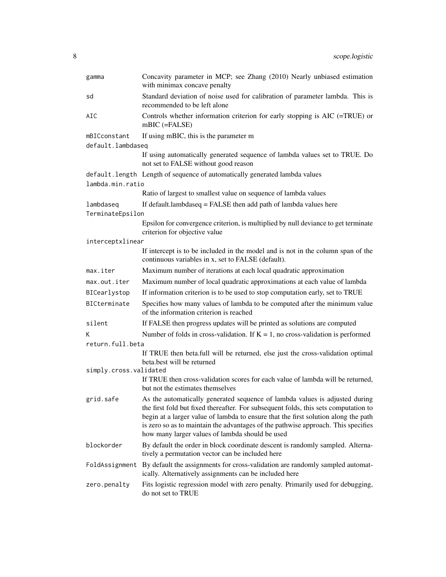| gamma                  | Concavity parameter in MCP; see Zhang (2010) Nearly unbiased estimation<br>with minimax concave penalty                                                                                                                                                                                                                                                                                          |  |
|------------------------|--------------------------------------------------------------------------------------------------------------------------------------------------------------------------------------------------------------------------------------------------------------------------------------------------------------------------------------------------------------------------------------------------|--|
| sd                     | Standard deviation of noise used for calibration of parameter lambda. This is<br>recommended to be left alone                                                                                                                                                                                                                                                                                    |  |
| AIC                    | Controls whether information criterion for early stopping is $AIC$ (=TRUE) or<br>$mBIC$ (=FALSE)                                                                                                                                                                                                                                                                                                 |  |
| mBICconstant           | If using mBIC, this is the parameter m                                                                                                                                                                                                                                                                                                                                                           |  |
| default.lambdaseq      |                                                                                                                                                                                                                                                                                                                                                                                                  |  |
|                        | If using automatically generated sequence of lambda values set to TRUE. Do<br>not set to FALSE without good reason                                                                                                                                                                                                                                                                               |  |
|                        | default.length Length of sequence of automatically generated lambda values                                                                                                                                                                                                                                                                                                                       |  |
| lambda.min.ratio       |                                                                                                                                                                                                                                                                                                                                                                                                  |  |
|                        | Ratio of largest to smallest value on sequence of lambda values                                                                                                                                                                                                                                                                                                                                  |  |
| lambdaseq              | If default.lambdaseq = FALSE then add path of lambda values here                                                                                                                                                                                                                                                                                                                                 |  |
| TerminateEpsilon       |                                                                                                                                                                                                                                                                                                                                                                                                  |  |
|                        | Epsilon for convergence criterion, is multiplied by null deviance to get terminate<br>criterion for objective value                                                                                                                                                                                                                                                                              |  |
| interceptxlinear       |                                                                                                                                                                                                                                                                                                                                                                                                  |  |
|                        | If intercept is to be included in the model and is not in the column span of the<br>continuous variables in x, set to FALSE (default).                                                                                                                                                                                                                                                           |  |
| max.iter               | Maximum number of iterations at each local quadratic approximation                                                                                                                                                                                                                                                                                                                               |  |
| max.out.iter           | Maximum number of local quadratic approximations at each value of lambda                                                                                                                                                                                                                                                                                                                         |  |
| BICearlystop           | If information criterion is to be used to stop computation early, set to TRUE                                                                                                                                                                                                                                                                                                                    |  |
| BICterminate           | Specifies how many values of lambda to be computed after the minimum value<br>of the information criterion is reached                                                                                                                                                                                                                                                                            |  |
| silent                 | If FALSE then progress updates will be printed as solutions are computed                                                                                                                                                                                                                                                                                                                         |  |
| K                      | Number of folds in cross-validation. If $K = 1$ , no cross-validation is performed                                                                                                                                                                                                                                                                                                               |  |
| return.full.beta       |                                                                                                                                                                                                                                                                                                                                                                                                  |  |
|                        | If TRUE then beta.full will be returned, else just the cross-validation optimal<br>beta.best will be returned                                                                                                                                                                                                                                                                                    |  |
| simply.cross.validated | If TRUE then cross-validation scores for each value of lambda will be returned,<br>but not the estimates themselves                                                                                                                                                                                                                                                                              |  |
| grid.safe              | As the automatically generated sequence of lambda values is adjusted during<br>the first fold but fixed thereafter. For subsequent folds, this sets computation to<br>begin at a larger value of lambda to ensure that the first solution along the path<br>is zero so as to maintain the advantages of the pathwise approach. This specifies<br>how many larger values of lambda should be used |  |
| blockorder             | By default the order in block coordinate descent is randomly sampled. Alterna-<br>tively a permutation vector can be included here                                                                                                                                                                                                                                                               |  |
| FoldAssignment         | By default the assignments for cross-validation are randomly sampled automat-<br>ically. Alternatively assignments can be included here                                                                                                                                                                                                                                                          |  |
| zero.penalty           | Fits logistic regression model with zero penalty. Primarily used for debugging,<br>do not set to TRUE                                                                                                                                                                                                                                                                                            |  |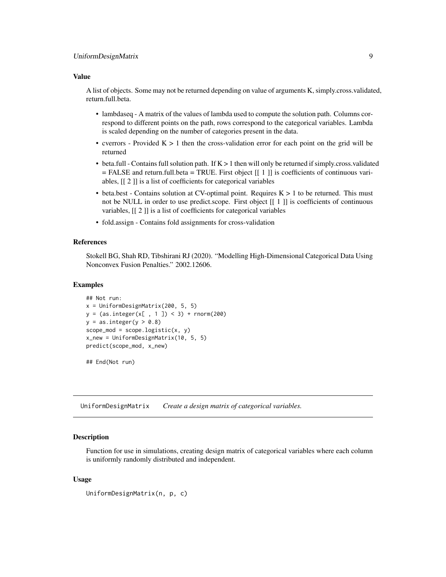#### <span id="page-8-0"></span>Value

A list of objects. Some may not be returned depending on value of arguments K, simply.cross.validated, return.full.beta.

- lambdaseq A matrix of the values of lambda used to compute the solution path. Columns correspond to different points on the path, rows correspond to the categorical variables. Lambda is scaled depending on the number of categories present in the data.
- cverrors Provided  $K > 1$  then the cross-validation error for each point on the grid will be returned
- beta.full Contains full solution path. If K > 1 then will only be returned if simply.cross.validated  $=$  FALSE and return.full.beta  $=$  TRUE. First object  $[[1]]$  is coefficients of continuous variables, [[ 2 ]] is a list of coefficients for categorical variables
- beta.best Contains solution at CV-optimal point. Requires  $K > 1$  to be returned. This must not be NULL in order to use predict.scope. First object  $[1 \ 1]$  is coefficients of continuous variables, [[ 2 ]] is a list of coefficients for categorical variables
- fold.assign Contains fold assignments for cross-validation

#### References

Stokell BG, Shah RD, Tibshirani RJ (2020). "Modelling High-Dimensional Categorical Data Using Nonconvex Fusion Penalties." 2002.12606.

#### Examples

```
## Not run:
x = UniformDesignMatrix(200, 5, 5)
y = (as.integer(x[, 1]) < 3) + rnorm(200)y = as.integer(y > 0.8)scope\_mod = scope.logistic(x, y)x_new = UniformDesignMatrix(10, 5, 5)
predict(scope_mod, x_new)
```
## End(Not run)

UniformDesignMatrix *Create a design matrix of categorical variables.*

#### **Description**

Function for use in simulations, creating design matrix of categorical variables where each column is uniformly randomly distributed and independent.

#### Usage

```
UniformDesignMatrix(n, p, c)
```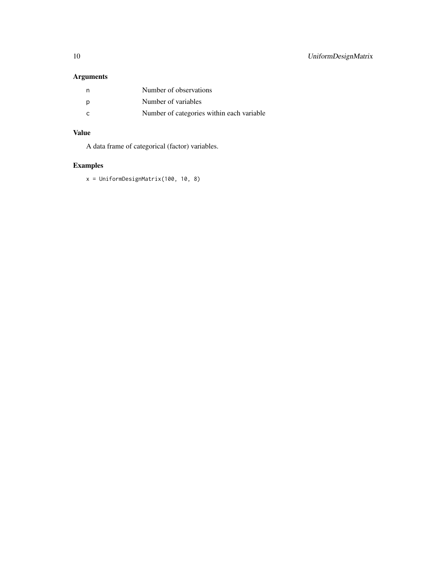#### Arguments

| n,  | Number of observations                    |
|-----|-------------------------------------------|
| D   | Number of variables                       |
| - C | Number of categories within each variable |

#### Value

A data frame of categorical (factor) variables.

### Examples

x = UniformDesignMatrix(100, 10, 8)